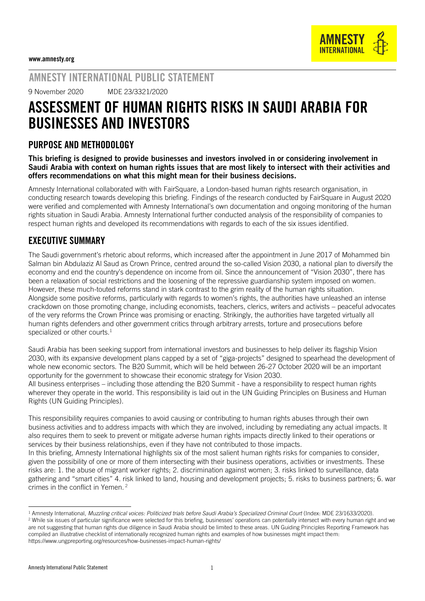AMNESTY INTERNATIONAL PUBLIC STATEMENT

9 November 2020 MDE 23/3321/2020

# ASSESSMENT OF HUMAN RIGHTS RISKS IN SAUDI ARABIA FOR BUSINESSES AND INVESTORS

## PURPOSE AND METHODOLOGY

This briefing is designed to provide businesses and investors involved in or considering involvement in Saudi Arabia with context on human rights issues that are most likely to intersect with their activities and offers recommendations on what this might mean for their business decisions.

Amnesty International collaborated with with FairSquare, a London-based human rights research organisation, in conducting research towards developing this briefing. Findings of the research conducted by FairSquare in August 2020 were verified and complemented with Amnesty International's own documentation and ongoing monitoring of the human rights situation in Saudi Arabia. Amnesty International further conducted analysis of the responsibility of companies to respect human rights and developed its recommendations with regards to each of the six issues identified.

## EXECUTIVE SUMMARY

The Saudi government's rhetoric about reforms, which increased after the appointment in June 2017 of Mohammed bin Salman bin Abdulaziz Al Saud as Crown Prince, centred around the so-called Vision 2030, a national plan to diversify the economy and end the country's dependence on income from oil. Since the announcement of "Vision 2030", there has been a relaxation of social restrictions and the loosening of the repressive guardianship system imposed on women. However, these much-touted reforms stand in stark contrast to the grim reality of the human rights situation. Alongside some positive reforms, particularly with regards to women's rights, the authorities have unleashed an intense crackdown on those promoting change, including economists, teachers, clerics, writers and activists – peaceful advocates of the very reforms the Crown Prince was promising or enacting. Strikingly, the authorities have targeted virtually all human rights defenders and other government critics through arbitrary arrests, torture and prosecutions before specialized or other courts.<sup>1</sup>

Saudi Arabia has been seeking support from international investors and businesses to help deliver its flagship Vision 2030, with its expansive development plans capped by a set of "giga-projects" designed to spearhead the development of whole new economic sectors. The B20 Summit, which will be held between 26-27 October 2020 will be an important opportunity for the government to showcase their economic strategy for Vision 2030.

All business enterprises – including those attending the B20 Summit - have a responsibility to respect human rights wherever they operate in the world. This responsibility is laid out in the UN Guiding Principles on Business and Human Rights (UN Guiding Principles).

This responsibility requires companies to avoid causing or contributing to human rights abuses through their own business activities and to address impacts with which they are involved, including by remediating any actual impacts. It also requires them to seek to prevent or mitigate adverse human rights impacts directly linked to their operations or services by their business relationships, even if they have not contributed to those impacts.

In this briefing, Amnesty International highlights six of the most salient human rights risks for companies to consider, given the possibility of one or more of them intersecting with their business operations, activities or investments. These risks are: 1. the abuse of migrant worker rights; 2. discrimination against women; 3. risks linked to surveillance, data gathering and "smart cities" 4. risk linked to land, housing and development projects; 5. risks to business partners; 6. war crimes in the conflict in Yemen. <sup>2</sup>

<sup>1</sup> Amnesty International, *Muzzling critical voices: Politicized trials before Saudi Arabia's Specialized Criminal Court* (Index: MDE 23/1633/2020).

<sup>&</sup>lt;sup>2</sup> While six issues of particular significance were selected for this briefing, businesses' operations can potentially intersect with every human right and we are not suggesting that human rights due diligence in Saudi Arabia should be limited to these areas. UN Guiding Principles Reporting Framework has compiled an illustrative checklist of internationally recognized human rights and examples of how businesses might impact them: <https://www.ungpreporting.org/resources/how-businesses-impact-human-rights/>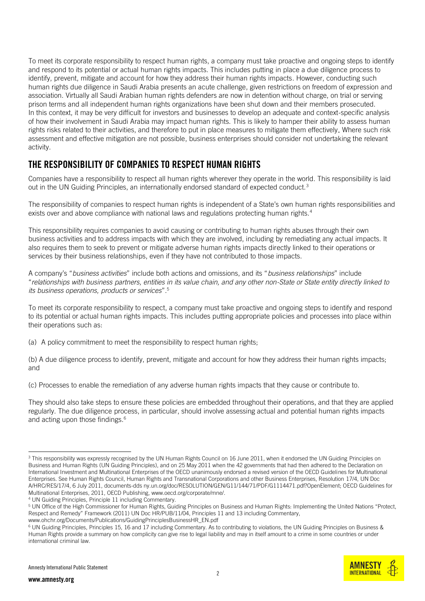To meet its corporate responsibility to respect human rights, a company must take proactive and ongoing steps to identify and respond to its potential or actual human rights impacts. This includes putting in place a due diligence process to identify, prevent, mitigate and account for how they address their human rights impacts. However, conducting such human rights due diligence in Saudi Arabia presents an acute challenge, given restrictions on freedom of expression and association. Virtually all Saudi Arabian human rights defenders are now in detention without charge, on trial or serving prison terms and all independent human rights organizations have been shut down and their members prosecuted. In this context, it may be very difficult for investors and businesses to develop an adequate and context-specific analysis of how their involvement in Saudi Arabia may impact human rights. This is likely to hamper their ability to assess human rights risks related to their activities, and therefore to put in place measures to mitigate them effectively. Where such risk assessment and effective mitigation are not possible, business enterprises should consider not undertaking the relevant activity.

# THE RESPONSIBILITY OF COMPANIES TO RESPECT HUMAN RIGHTS

Companies have a responsibility to respect all human rights wherever they operate in the world. This responsibility is laid out in the UN Guiding Principles, an internationally endorsed standard of expected conduct.<sup>3</sup>

The responsibility of companies to respect human rights is independent of a State's own human rights responsibilities and exists over and above compliance with national laws and regulations protecting human rights.<sup>4</sup>

This responsibility requires companies to avoid causing or contributing to human rights abuses through their own business activities and to address impacts with which they are involved, including by remediating any actual impacts. It also requires them to seek to prevent or mitigate adverse human rights impacts directly linked to their operations or services by their business relationships, even if they have not contributed to those impacts.

A company's "*business activities*" include both actions and omissions, and its "*business relationships*" include "*relationships with business partners, entities in its value chain, and any other non-State or State entity directly linked to its business operations, products or services*".<sup>5</sup>

To meet its corporate responsibility to respect, a company must take proactive and ongoing steps to identify and respond to its potential or actual human rights impacts. This includes putting appropriate policies and processes into place within their operations such as:

(a) A policy commitment to meet the responsibility to respect human rights;

(b) A due diligence process to identify, prevent, mitigate and account for how they address their human rights impacts; and

(c) Processes to enable the remediation of any adverse human rights impacts that they cause or contribute to.

They should also take steps to ensure these policies are embedded throughout their operations, and that they are applied regularly. The due diligence process, in particular, should involve assessing actual and potential human rights impacts and acting upon those findings.<sup>6</sup>



<sup>&</sup>lt;sup>3</sup> This responsibility was expressly recognised by the UN Human Rights Council on 16 June 2011, when it endorsed the UN Guiding Principles on Business and Human Rights (UN Guiding Principles), and on 25 May 2011 when the 42 governments that had then adhered to the Declaration on International Investment and Multinational Enterprises of the OECD unanimously endorsed a revised version of the OECD Guidelines for Multinational Enterprises. See Human Rights Council, Human Rights and Transnational Corporations and other Business Enterprises, Resolution 17/4, UN Doc A/HRC/RES/17/4, 6 July 2011, documents-dds ny.un.org/doc/RESOLUTION/GEN/G11/144/71/PDF/G1114471.pdf?OpenElement; OECD Guidelines for Multinational Enterprises, 2011, OECD Publishing, www.oecd.org/corporate/mne/.

<sup>4</sup> UN Guiding Principles, Principle 11 including Commentary.

<sup>5</sup> UN Office of the High Commissioner for Human Rights, Guiding Principles on Business and Human Rights: Implementing the United Nations "Protect, Respect and Remedy" Framework (2011) UN Doc HR/PUB/11/04, Principles 11 and 13 including Commentary, www.ohchr.org/Documents/Publications/GuidingPrinciplesBusinessHR\_EN.pdf

<sup>6</sup> UN Guiding Principles, Principles 15, 16 and 17 including Commentary. As to contributing to violations, the UN Guiding Principles on Business & Human Rights provide a summary on how complicity can give rise to legal liability and may in itself amount to a crime in some countries or under international criminal law.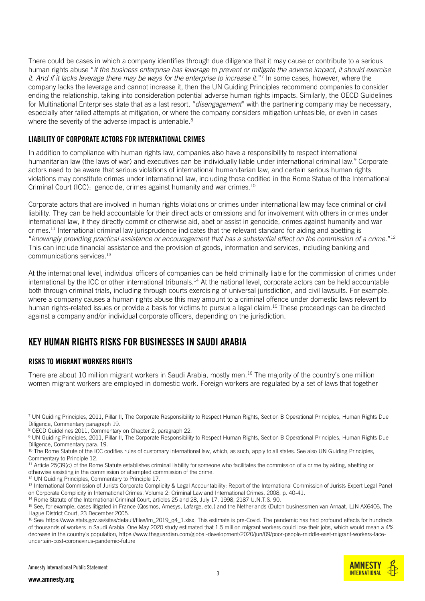There could be cases in which a company identifies through due diligence that it may cause or contribute to a serious human rights abuse "*if the business enterprise has leverage to prevent or mitigate the adverse impact, it should exercise it. And if it lacks leverage there may be ways for the enterprise to increase it.*" 7 In some cases, however, where the company lacks the leverage and cannot increase it, then the UN Guiding Principles recommend companies to consider ending the relationship, taking into consideration potential adverse human rights impacts. Similarly, the OECD Guidelines for Multinational Enterprises state that as a last resort, "*disengagement*" with the partnering company may be necessary, especially after failed attempts at mitigation, or where the company considers mitigation unfeasible, or even in cases where the severity of the adverse impact is untenable.<sup>8</sup>

## LIABILITY OF CORPORATE ACTORS FOR INTERNATIONAL CRIMES

In addition to compliance with human rights law, companies also have a responsibility to respect international humanitarian law (the laws of war) and executives can be individually liable under international criminal law.<sup>9</sup> Corporate actors need to be aware that serious violations of international humanitarian law, and certain serious human rights violations may constitute crimes under international law, including those codified in the Rome Statue of the International Criminal Court (ICC): genocide, crimes against humanity and war crimes.<sup>10</sup>

Corporate actors that are involved in human rights violations or crimes under international law may face criminal or civil liability. They can be held accountable for their direct acts or omissions and for involvement with others in crimes under international law, if they directly commit or otherwise aid, abet or assist in genocide, crimes against humanity and war crimes.<sup>11</sup> International criminal law jurisprudence indicates that the relevant standard for aiding and abetting is "*knowingly providing practical assistance or encouragement that has a substantial effect on the commission of a crime.*" 12 This can include financial assistance and the provision of goods, information and services, including banking and communications services.<sup>13</sup>

At the international level, individual officers of companies can be held criminally liable for the commission of crimes under international by the ICC or other international tribunals.<sup>14</sup> At the national level, corporate actors can be held accountable both through criminal trials, including through courts exercising of universal jurisdiction, and civil lawsuits. For example, where a company causes a human rights abuse this may amount to a criminal offence under domestic laws relevant to human rights-related issues or provide a basis for victims to pursue a legal claim.<sup>15</sup> These proceedings can be directed against a company and/or individual corporate officers, depending on the jurisdiction.

## KEY HUMAN RIGHTS RISKS FOR BUSINESSES IN SAUDI ARABIA

## RISKS TO MIGRANT WORKERS RIGHTS

There are about 10 million migrant workers in Saudi Arabia, mostly men.<sup>16</sup> The majority of the country's one million women migrant workers are employed in domestic work. Foreign workers are regulated by a set of laws that together



<sup>7</sup> UN Guiding Principles, 2011, Pillar II, The Corporate Responsibility to Respect Human Rights, Section B Operational Principles, Human Rights Due Diligence, Commentary paragraph 19.

<sup>8</sup> OECD Guidelines 2011, Commentary on Chapter 2, paragraph 22.

<sup>&</sup>lt;sup>9</sup> UN Guiding Principles, 2011, Pillar II, The Corporate Responsibility to Respect Human Rights, Section B Operational Principles, Human Rights Due Diligence, Commentary para. 19.

<sup>&</sup>lt;sup>10</sup> The Rome Statute of the ICC codifies rules of customary international law, which, as such, apply to all states. See also UN Guiding Principles, Commentary to Principle 12.

<sup>&</sup>lt;sup>11</sup> Article 25(39(c) of the Rome Statute establishes criminal liability for someone who facilitates the commission of a crime by aiding, abetting or otherwise assisting in the commission or attempted commission of the crime.

<sup>&</sup>lt;sup>12</sup> UN Guiding Principles, Commentary to Principle 17.

<sup>13</sup> International Commission of Jurists Corporate Complicity & Legal Accountability: Report of the International Commission of Jurists Expert Legal Panel on Corporate Complicity in International Crimes, Volume 2: Criminal Law and International Crimes, 2008, p. 40-41.

<sup>&</sup>lt;sup>14</sup> Rome Statute of the International Criminal Court, articles 25 and 28, July 17, 1998, 2187 U.N.T.S. 90.

<sup>&</sup>lt;sup>15</sup> See, for example, cases litigated in France (Qosmos, Amesys, Lafarge, etc.) and the Netherlands (Dutch businessmen van Arnaat, LJN AX6406, The Hague District Court, 23 December 2005.

<sup>&</sup>lt;sup>16</sup> See[: https://www.stats.gov.sa/sites/default/files/lm\\_2019\\_q4\\_1.xlsx;](https://www.stats.gov.sa/sites/default/files/lm_2019_q4_1.xlsx) This estimate is pre-Covid. The pandemic has had profound effects for hundreds of thousands of workers in Saudi Arabia. One May 2020 study estimated that 1.5 million migrant workers could lose their jobs, which would mean a 4% decrease in the country's population, [https://www.theguardian.com/global-development/2020/jun/09/poor-people-middle-east-migrant-workers-face](https://www.theguardian.com/global-development/2020/jun/09/poor-people-middle-east-migrant-workers-face-uncertain-post-coronavirus-pandemic-future)[uncertain-post-coronavirus-pandemic-future](https://www.theguardian.com/global-development/2020/jun/09/poor-people-middle-east-migrant-workers-face-uncertain-post-coronavirus-pandemic-future)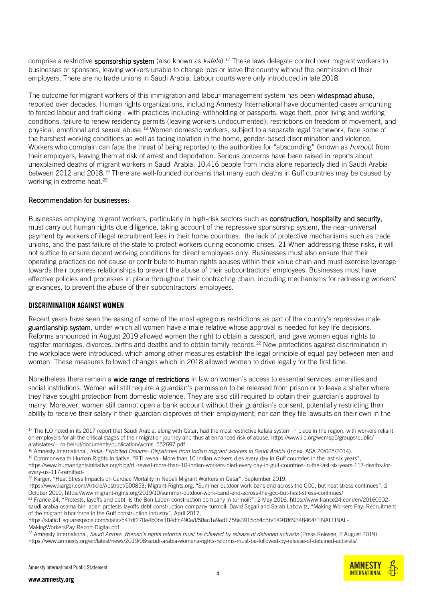comprise a restrictive sponsorship system (also known as *kafala*).<sup>17</sup> These laws delegate control over migrant workers to businesses or sponsors, leaving workers unable to change jobs or leave the country without the permission of their employers. There are no trade unions in Saudi Arabia. Labour courts were only introduced in late 2018.

The outcome for migrant workers of this immigration and labour management system has been widespread abuse, reported over decades. Human rights organizations, including Amnesty International have documented cases amounting to forced labour and trafficking - with practices including: withholding of passports, wage theft, poor living and working conditions, failure to renew residency permits (leaving workers undocumented), restrictions on freedom of movement, and physical, emotional and sexual abuse.<sup>18</sup> Women domestic workers, subject to a separate legal framework, face some of the harshest working conditions as well as facing isolation in the home, gender-based discrimination and violence. Workers who complain can face the threat of being reported to the authorities for "absconding" (known as *huroob*) from their employers, leaving them at risk of arrest and deportation. Serious concerns have been raised in reports about unexplained deaths of migrant workers in Saudi Arabia: 10,416 people from India alone reportedly died in Saudi Arabia between 2012 and 2018.<sup>19</sup> There are well-founded concerns that many such deaths in Gulf countries may be caused by working in extreme heat.<sup>20</sup>

#### Recommendation for businesses:

Businesses employing migrant workers, particularly in high-risk sectors such as construction, hospitality and security, must carry out human rights due diligence, taking account of the repressive sponsorship system, the near-universal payment by workers of illegal recruitment fees in their home countries. the lack of protective mechanisms such as trade unions, and the past failure of the state to protect workers during economic crises. 21 When addressing these risks, it will not suffice to ensure decent working conditions for direct employees only. Businesses must also ensure that their operating practices do not cause or contribute to human rights abuses within their value chain and must exercise leverage towards their business relationships to prevent the abuse of their subcontractors' employees. Businesses must have effective policies and processes in place throughout their contracting chain, including mechanisms for redressing workers' grievances, to prevent the abuse of their subcontractors' employees.

#### DISCRIMINATION AGAINST WOMEN

Recent years have seen the easing of some of the most egregious restrictions as part of the country's repressive male guardianship system, under which all women have a male relative whose approval is needed for key life decisions. Reforms announced in August 2019 allowed women the right to obtain a passport, and gave women equal rights to register marriages, divorces, births and deaths and to obtain family records.<sup>22</sup> New protections against discrimination in the workplace were introduced, which among other measures establish the legal principle of equal pay between men and women. These measures followed changes which in 2018 allowed women to drive legally for the first time.

Nonetheless there remain a wide range of restrictions in law on women's access to essential services, amenities and social institutions. Women will still require a guardian's permission to be released from prison or to leave a shelter where they have sought protection from domestic violence. They are also still required to obtain their guardian's approval to marry. Moreover, women still cannot open a bank account without their guardian's consent, potentially restricting their ability to receive their salary if their guardian disproves of their employment, nor can they file lawsuits on their own in the

[https://www.karger.com/Article/Abstract/500853;](https://www.karger.com/Article/Abstract/500853) Migrant-Rights.org, "Summer outdoor work bans end across the GCC, but heat stress continues", 2 October 2019,<https://www.migrant-rights.org/2019/10/summer-outdoor-work-band-end-across-the-gcc-but-heat-stress-continues/>



<sup>&</sup>lt;sup>17</sup> The ILO noted in its 2017 report that Saudi Arabia, along with Qatar, had the most restrictive kafala system in place in the region, with workers reliant on employers for all the critical stages of their migration journey and thus at enhanced risk of abuse[, https://www.ilo.org/wcmsp5/groups/public/--](https://www.ilo.org/wcmsp5/groups/public/---arabstates/---ro-beirut/documents/publication/wcms_552697.pdf) [arabstates/---ro-beirut/documents/publication/wcms\\_552697.pdf](https://www.ilo.org/wcmsp5/groups/public/---arabstates/---ro-beirut/documents/publication/wcms_552697.pdf)

<sup>18</sup> Amnesty International*, India: Exploited Dreams: Dispatches from Indian migrant workers in Saudi Arabia* (Index: ASA 20/025/2014).

<sup>&</sup>lt;sup>19</sup> Commonwealth Human Rights Initiative, "RTI reveal: More than 10 Indian workers dies every day in Gulf countries in the last six years", [https://www.humanrightsinitiative.org/blog/rti-reveal-more-than-10-indian-workers-died-every-day-in-gulf-countries-in-the-last-six-years-117-deaths-for-](https://www.humanrightsinitiative.org/blog/rti-reveal-more-than-10-indian-workers-died-every-day-in-gulf-countries-in-the-last-six-years-117-deaths-for-every-us-117-remitted-)

[every-us-117-remitted-](https://www.humanrightsinitiative.org/blog/rti-reveal-more-than-10-indian-workers-died-every-day-in-gulf-countries-in-the-last-six-years-117-deaths-for-every-us-117-remitted-)

<sup>&</sup>lt;sup>20</sup> Karger, "Heat Stress Impacts on Cardiac Mortality in Nepali Migrant Workers in Qatar", September 2019,

<sup>&</sup>lt;sup>21</sup> France 24, "Protests, layoffs and debt: Is the Bon Laden construction company in turmoil?", 2 May 2016, [https://www.france24.com/en/20160502](https://www.france24.com/en/20160502-saudi-arabia-osama-bin-laden-protests-layoffs-debt-construction-company-turmoil) [saudi-arabia-osama-bin-laden-protests-layoffs-debt-construction-company-turmoil;](https://www.france24.com/en/20160502-saudi-arabia-osama-bin-laden-protests-layoffs-debt-construction-company-turmoil) David Segall and Sarah Labowitz, "Making Workers Pay: Recruitment of the migrant labor force in the Gulf construction industry", April 2017,

[https://static1.squarespace.com/static/547df270e4b0ba184dfc490e/t/58ec1e9ed1758e3915cb4c5b/1491869348464/FINALFINAL-](https://static1.squarespace.com/static/547df270e4b0ba184dfc490e/t/58ec1e9ed1758e3915cb4c5b/1491869348464/FINALFINAL-MakingWorkersPay-Report-Digital.pdf)[MakingWorkersPay-Report-Digital.pdf](https://static1.squarespace.com/static/547df270e4b0ba184dfc490e/t/58ec1e9ed1758e3915cb4c5b/1491869348464/FINALFINAL-MakingWorkersPay-Report-Digital.pdf)

<sup>&</sup>lt;sup>22</sup> Amnesty International, Saudi Arabia: Women's rights reforms must be followed by release of detained activists (Press Release, 2 August 2019), <https://www.amnesty.org/en/latest/news/2019/08/saudi-arabia-womens-rights-reforms-must-be-followed-by-release-of-detained-activists/>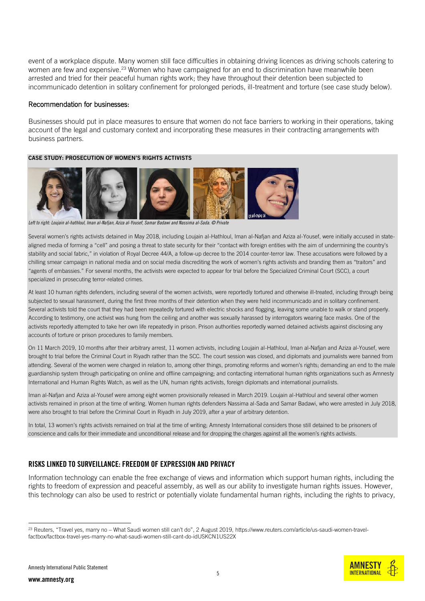event of a workplace dispute. Many women still face difficulties in obtaining driving licences as driving schools catering to women are few and expensive.<sup>23</sup> Women who have campaigned for an end to discrimination have meanwhile been arrested and tried for their peaceful human rights work; they have throughout their detention been subjected to incommunicado detention in solitary confinement for prolonged periods, ill-treatment and torture (see case study below).

#### Recommendation for businesses:

Businesses should put in place measures to ensure that women do not face barriers to working in their operations, taking account of the legal and customary context and incorporating these measures in their contracting arrangements with business partners.

#### CASE STUDY: PROSECUTION OF WOMEN'S RIGHTS ACTIVISTS



*Left to right: Loujain al-hathloul, Iman al-Nafjan, Aziza al-Yousef, Samar Badawi and Nassima al-Sada. © Private*

Several women's rights activists detained in May 2018, including Loujain al-Hathloul, Iman al-Nafjan and Aziza al-Yousef, were initially accused in statealigned media of forming a "cell" and posing a threat to state security for their "contact with foreign entities with the aim of undermining the country's stability and social fabric," in violation of Royal Decree 44/A, a follow-up decree to the 2014 counter-terror law. These accusations were followed by a chilling smear campaign in national media and on social media discrediting the work of women's rights activists and branding them as "traitors" and "agents of embassies." For several months, the activists were expected to appear for trial before the Specialized Criminal Court (SCC), a court specialized in prosecuting terror-related crimes.

At least 10 human rights defenders, including several of the women activists, were reportedly tortured and otherwise ill-treated, including through being subjected to sexual harassment, during the first three months of their detention when they were held incommunicado and in solitary confinement. Several activists told the court that they had been repeatedly tortured with electric shocks and flogging, leaving some unable to walk or stand properly. According to testimony, one activist was hung from the ceiling and another was sexually harassed by interrogators wearing face masks. One of the activists reportedly attempted to take her own life repeatedly in prison. Prison authorities reportedly warned detained activists against disclosing any accounts of torture or prison procedures to family members.

On 11 March 2019, 10 months after their arbitrary arrest, 11 women activists, including Loujain al-Hathloul, Iman al-Nafjan and Aziza al-Yousef, were brought to trial before the Criminal Court in Riyadh rather than the SCC. The court session was closed, and diplomats and journalists were banned from attending. Several of the women were charged in relation to, among other things, promoting reforms and women's rights; demanding an end to the male guardianship system through participating on online and offline campaigning; and contacting international human rights organizations such as Amnesty International and Human Rights Watch, as well as the UN, human rights activists, foreign diplomats and international journalists.

Iman al-Nafjan and Aziza al-Yousef were among eight women provisionally released in March 2019. Loujain al-Hathloul and several other women activists remained in prison at the time of writing. Women human rights defenders Nassima al-Sada and Samar Badawi, who were arrested in July 2018, were also brought to trial before the Criminal Court in Riyadh in July 2019, after a year of arbitrary detention.

In total, 13 women's rights activists remained on trial at the time of writing; Amnesty International considers those still detained to be prisoners of conscience and calls for their immediate and unconditional release and for dropping the charges against all the women's rights activists.

#### RISKS LINKED TO SURVEILLANCE: FREEDOM OF EXPRESSION AND PRIVACY

Information technology can enable the free exchange of views and information which support human rights, including the rights to freedom of expression and peaceful assembly, as well as our ability to investigate human rights issues. However, this technology can also be used to restrict or potentially violate fundamental human rights, including the rights to privacy,

<sup>&</sup>lt;sup>23</sup> Reuters, "Travel yes, marry no - What Saudi women still can't do", 2 August 2019, [https://www.reuters.com/article/us-saudi-women-travel](https://www.reuters.com/article/us-saudi-women-travel-factbox/factbox-travel-yes-marry-no-what-saudi-women-still-cant-do-idUSKCN1US22X)[factbox/factbox-travel-yes-marry-no-what-saudi-women-still-cant-do-idUSKCN1US22X](https://www.reuters.com/article/us-saudi-women-travel-factbox/factbox-travel-yes-marry-no-what-saudi-women-still-cant-do-idUSKCN1US22X)

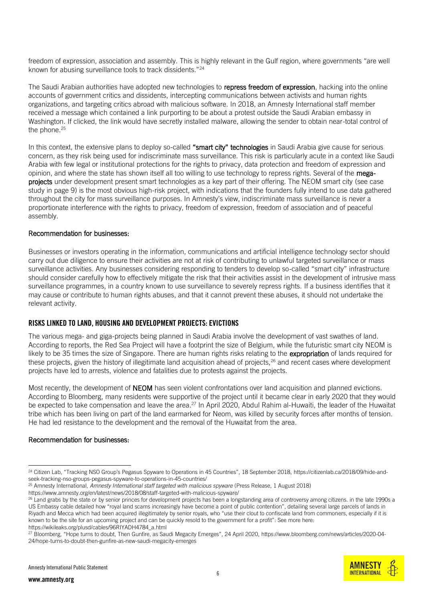freedom of expression, association and assembly. This is highly relevant in the Gulf region, where governments "are well known for abusing surveillance tools to track dissidents."<sup>24</sup>

The Saudi Arabian authorities have adopted new technologies to repress freedom of expression, hacking into the online accounts of government critics and dissidents, intercepting communications between activists and human rights organizations, and targeting critics abroad with malicious software. In 2018, an Amnesty International staff member received a message which contained a link purporting to be about a protest outside the Saudi Arabian embassy in Washington. If clicked, the link would have secretly installed malware, allowing the sender to obtain near-total control of the phone.<sup>25</sup>

In this context, the extensive plans to deploy so-called "smart city" technologies in Saudi Arabia give cause for serious concern, as they risk being used for indiscriminate mass surveillance. This risk is particularly acute in a context like Saudi Arabia with few legal or institutional protections for the rights to privacy, data protection and freedom of expression and opinion, and where the state has shown itself all too willing to use technology to repress rights. Several of the megaprojects under development present smart technologies as a key part of their offering. The NEOM smart city (see case study in page 9) is the most obvious high-risk project, with indications that the founders fully intend to use data gathered throughout the city for mass surveillance purposes. In Amnesty's view, indiscriminate mass surveillance is never a proportionate interference with the rights to privacy, freedom of expression, freedom of association and of peaceful assembly.

#### Recommendation for businesses:

Businesses or investors operating in the information, communications and artificial intelligence technology sector should carry out due diligence to ensure their activities are not at risk of contributing to unlawful targeted surveillance or mass surveillance activities. Any businesses considering responding to tenders to develop so-called "smart city" infrastructure should consider carefully how to effectively mitigate the risk that their activities assist in the development of intrusive mass surveillance programmes, in a country known to use surveillance to severely repress rights. If a business identifies that it may cause or contribute to human rights abuses, and that it cannot prevent these abuses, it should not undertake the relevant activity.

#### RISKS LINKED TO LAND, HOUSING AND DEVELOPMENT PROJECTS: EVICTIONS

The various mega- and giga-projects being planned in Saudi Arabia involve the development of vast swathes of land. According to reports, the Red Sea Project will have a footprint the size of Belgium, while the futuristic smart city NEOM is likely to be 35 times the size of Singapore. There are human rights risks relating to the expropriation of lands required for these projects, given the history of illegitimate land acquisition ahead of projects, $^{26}$  and recent cases where development projects have led to arrests, violence and fatalities due to protests against the projects.

Most recently, the development of **NEOM** has seen violent confrontations over land acquisition and planned evictions. According to Bloomberg, many residents were supportive of the project until it became clear in early 2020 that they would be expected to take compensation and leave the area.<sup>27</sup> In April 2020, Abdul Rahim al-Huwaiti, the leader of the Huwaitat tribe which has been living on part of the land earmarked for Neom, was killed by security forces after months of tension. He had led resistance to the development and the removal of the Huwaitat from the area.

#### Recommendation for businesses:



<sup>&</sup>lt;sup>24</sup> Citizen Lab, "Tracking NSO Group's Pegasus Spyware to Operations in 45 Countries", 18 September 2018, [https://citizenlab.ca/2018/09/hide-and](https://citizenlab.ca/2018/09/hide-and-seek-tracking-nso-groups-pegasus-spyware-to-operations-in-45-countries/)[seek-tracking-nso-groups-pegasus-spyware-to-operations-in-45-countries/](https://citizenlab.ca/2018/09/hide-and-seek-tracking-nso-groups-pegasus-spyware-to-operations-in-45-countries/)

<sup>25</sup> Amnesty International, *Amnesty International staff targeted with malicious spyware* (Press Release, 1 August 2018)

<https://www.amnesty.org/en/latest/news/2018/08/staff-targeted-with-malicious-spyware/>

<sup>&</sup>lt;sup>26</sup> Land grabs by the state or by senior princes for development projects has been a longstanding area of controversy among citizens. in the late 1990s a US Embassy cable detailed how "royal land scams increasingly have become a point of public contention", detailing several large parcels of lands in Riyadh and Mecca which had been acquired illegitimately by senior royals, who "use their clout to confiscate land from commoners, especially if it is known to be the site for an upcoming project and can be quickly resold to the government for a profit": See more here: [https://wikileaks.org/plusd/cables/96RIYADH4784\\_a.html](https://wikileaks.org/plusd/cables/96RIYADH4784_a.html)

<sup>27</sup> [Bloomberg,](https://www.bloomberg.com/news/articles/2020-04-24/hope-turns-to-doubt-then-gunfire-as-new-saudi-megacity-emerges) "Hope turns to doubt, Then Gunfire, as Saudi Megacity Emerges", 24 April 2020, [https://www.bloomberg.com/news/articles/2020-04-](https://www.bloomberg.com/news/articles/2020-04-24/hope-turns-to-doubt-then-gunfire-as-new-saudi-megacity-emerges) [24/hope-turns-to-doubt-then-gunfire-as-new-saudi-megacity-emerges](https://www.bloomberg.com/news/articles/2020-04-24/hope-turns-to-doubt-then-gunfire-as-new-saudi-megacity-emerges)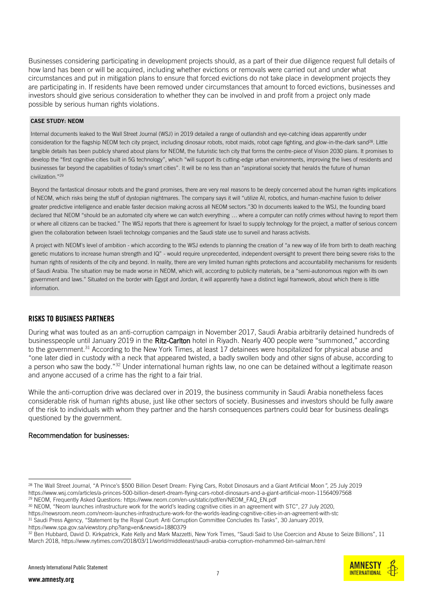Businesses considering participating in development projects should, as a part of their due diligence request full details of how land has been or will be acquired, including whether evictions or removals were carried out and under what circumstances and put in mitigation plans to ensure that forced evictions do not take place in development projects they are participating in. If residents have been removed under circumstances that amount to forced evictions, businesses and investors should give serious consideration to whether they can be involved in and profit from a project only made possible by serious human rights violations.

#### CASE STUDY: NEOM

Internal documents leaked to the Wall Street Journal (WSJ) in 2019 detailed a range of outlandish and eye-catching ideas apparently under consideration for the flagship NEOM tech city project, including dinosaur robots, robot maids, robot cage fighting, and glow-in-the-dark sand<sup>28</sup>. Little tangible details has been publicly shared about plans for NEOM, the futuristic tech city that forms the centre-piece of Vision 2030 plans. It promises to develop the "first cognitive cities built in 5G technology", which "will support its cutting-edge urban environments, improving the lives of residents and businesses far beyond the capabilities of today's smart cities". It will be no less than an "aspirational society that heralds the future of human civilization."<sup>29</sup>

Beyond the fantastical dinosaur robots and the grand promises, there are very real reasons to be deeply concerned about the human rights implications of NEOM, which risks being the stuff of dystopian nightmares. The company says it will "utilize AI, robotics, and human-machine fusion to deliver greater predictive intelligence and enable faster decision making across all NEOM sectors."30 In documents leaked to the WSJ, the founding board declared that NEOM "should be an automated city where we can watch everything … where a computer can notify crimes without having to report them or where all citizens can be tracked." The WSJ reports that there is agreement for Israel to supply technology for the project, a matter of serious concern given the collaboration between Israeli technology companies and the Saudi state use to surveil and harass activists.

A project with NEOM's level of ambition - which according to the WSJ extends to planning the creation of "a new way of life from birth to death reaching genetic mutations to increase human strength and IQ" - would require unprecedented, independent oversight to prevent there being severe risks to the human rights of residents of the city and beyond. In reality, there are very limited human rights protections and accountability mechanisms for residents of Saudi Arabia. The situation may be made worse in NEOM, which will, according to publicity materials, be a "semi-autonomous region with its own government and laws." Situated on the border with Egypt and Jordan, it will apparently have a distinct legal framework, about which there is little information.

## RISKS TO BUSINESS PARTNERS

During what was touted as an anti-corruption campaign in November 2017, Saudi Arabia arbitrarily detained hundreds of businesspeople until January 2019 in the Ritz-Carlton hotel in Riyadh. Nearly 400 people were "summoned," according to the government.<sup>31</sup> According to the New York Times, at least 17 detainees were hospitalized for physical abuse and "one later died in custody with a neck that appeared twisted, a badly swollen body and other signs of abuse, according to a person who saw the body."<sup>32</sup> Under international human rights law, no one can be detained without a legitimate reason and anyone accused of a crime has the right to a fair trial.

While the anti-corruption drive was declared over in 2019, the business community in Saudi Arabia nonetheless faces considerable risk of human rights abuse, just like other sectors of society. Businesses and investors should be fully aware of the risk to individuals with whom they partner and the harsh consequences partners could bear for business dealings questioned by the government.

#### Recommendation for businesses:



<sup>28</sup> The Wall Street Journal, "A Prince's \$500 Billion Desert Dream: Flying Cars, Robot Dinosaurs and a Giant Artificial Moon*",* 25 July 2019 <https://www.wsj.com/articles/a-princes-500-billion-desert-dream-flying-cars-robot-dinosaurs-and-a-giant-artificial-moon-11564097568> <sup>29</sup> NEOM, Frequently Asked Questions: [https://www.neom.com/en-us/static/pdf/en/NEOM\\_FAQ\\_EN.pdf](https://www.neom.com/en-us/static/pdf/en/NEOM_FAQ_EN.pdf)

<sup>30</sup> NEOM, "Neom launches infrastructure work for the world's leading cognitive cities in an agreement with STC", 27 July 2020, <https://newsroom.neom.com/neom-launches-infrastructure-work-for-the-worlds-leading-cognitive-cities-in-an-agreement-with-stc>

<sup>&</sup>lt;sup>31</sup> Saudi Press Agency, "Statement by the Royal Court: Anti Corruption Committee Concludes Its Tasks", 30 January 2019, <https://www.spa.gov.sa/viewstory.php?lang=en&newsid=1880379>

<sup>32</sup> Ben Hubbard, David D. Kirkpatrick, Kate Kelly and Mark Mazzetti, New York Times, "Saudi Said to Use Coercion and Abuse to Seize Billions", 11 March 2018,<https://www.nytimes.com/2018/03/11/world/middleeast/saudi-arabia-corruption-mohammed-bin-salman.html>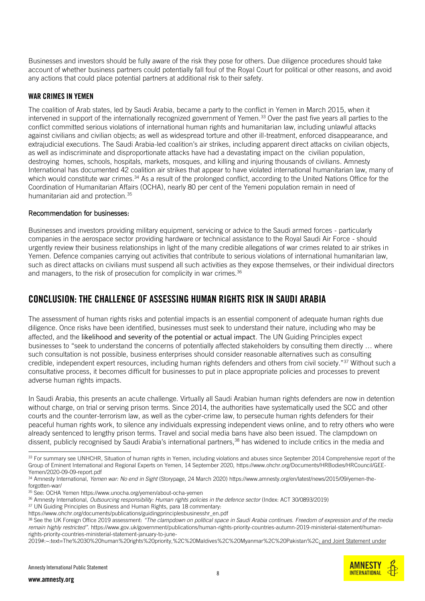Businesses and investors should be fully aware of the risk they pose for others. Due diligence procedures should take account of whether business partners could potentially fall foul of the Royal Court for political or other reasons, and avoid any actions that could place potential partners at additional risk to their safety.

#### WAR CRIMES IN YEMEN

The coalition of Arab states, led by Saudi Arabia, became a party to the conflict in Yemen in March 2015, when it intervened in support of the internationally recognized government of Yemen.<sup>33</sup> Over the past five years all parties to the conflict committed serious violations of international human rights and humanitarian law, including unlawful attacks against civilians and civilian objects; as well as widespread torture and other ill-treatment, enforced disappearance, and extrajudicial executions. The Saudi Arabia-led coalition's air strikes, including apparent direct attacks on civilian objects, as well as indiscriminate and disproportionate attacks have had a devastating impact on the civilian population, destroying homes, schools, hospitals, markets, mosques, and killing and injuring thousands of civilians. Amnesty International has documented 42 coalition air strikes that appear to have violated international humanitarian law, many of which would constitute war crimes. <sup>34</sup> As a result of the prolonged conflict, according to the United Nations Office for the Coordination of Humanitarian Affairs (OCHA), nearly 80 per cent of the Yemeni population remain in need of humanitarian aid and protection.<sup>35</sup>

#### Recommendation for businesses:

Businesses and investors providing military equipment, servicing or advice to the Saudi armed forces - particularly companies in the aerospace sector providing hardware or technical assistance to the Royal Saudi Air Force - should urgently review their business relationships in light of the many credible allegations of war crimes related to air strikes in Yemen. Defence companies carrying out activities that contribute to serious violations of international humanitarian law, such as direct attacks on civilians must suspend all such activities as they expose themselves, or their individual directors and managers, to the risk of prosecution for complicity in war crimes.<sup>36</sup>

## CONCLUSION: THE CHALLENGE OF ASSESSING HUMAN RIGHTS RISK IN SAUDI ARABIA

The assessment of human rights risks and potential impacts is an essential component of adequate human rights due diligence. Once risks have been identified, businesses must seek to understand their nature, including who may be affected, and the likelihood and severity of the potential or actual impact. The UN Guiding Principles expect businesses to "seek to understand the concerns of potentially affected stakeholders by consulting them directly … where such consultation is not possible, business enterprises should consider reasonable alternatives such as consulting credible, independent expert resources, including human rights defenders and others from civil society."<sup>37</sup> Without such a consultative process, it becomes difficult for businesses to put in place appropriate policies and processes to prevent adverse human rights impacts.

In Saudi Arabia, this presents an acute challenge. Virtually all Saudi Arabian human rights defenders are now in detention without charge, on trial or serving prison terms. Since 2014, the authorities have systematically used the SCC and other courts and the counter-terrorism law, as well as the cyber-crime law, to persecute human rights defenders for their peaceful human rights work, to silence any individuals expressing independent views online, and to retry others who were already sentenced to lengthy prison terms. Travel and social media bans have also been issued. The clampdown on dissent, publicly recognised by Saudi Arabia's international partners,<sup>38</sup> has widened to include critics in the media and

<sup>38</sup> See the UK Foreign Office 2019 assessment: *"The clampdown on political space in Saudi Arabia continues. Freedom of expression and of the media remain highly restricted".* [https://www.gov.uk/government/publications/human-rights-priority-countries-autumn-2019-ministerial-statement/human](https://www.gov.uk/government/publications/human-rights-priority-countries-autumn-2019-ministerial-statement/human-rights-priority-countries-ministerial-statement-january-to-june-2019#:~:text=The%2030%20human%20rights%20priority,%2C%20Maldives%2C%20Myanmar%2C%20Pakistan%2C)[rights-priority-countries-ministerial-statement-january-to-june-](https://www.gov.uk/government/publications/human-rights-priority-countries-autumn-2019-ministerial-statement/human-rights-priority-countries-ministerial-statement-january-to-june-2019#:~:text=The%2030%20human%20rights%20priority,%2C%20Maldives%2C%20Myanmar%2C%20Pakistan%2C)

**AMNESTY INTERNATIONAL** 

<sup>33</sup> For summary see UNHCHR, Situation of human rights in Yemen, including violations and abuses since September 2014 Comprehensive report of the Group of Eminent International and Regional Experts on Yemen, 14 September 2020, [https://www.ohchr.org/Documents/HRBodies/HRCouncil/GEE-](https://www.ohchr.org/Documents/HRBodies/HRCouncil/GEE-Yemen/2020-09-09-report.pdf)[Yemen/2020-09-09-report.pdf](https://www.ohchr.org/Documents/HRBodies/HRCouncil/GEE-Yemen/2020-09-09-report.pdf)

<sup>34</sup> Amnesty International, *Yemen war: No end in Sight* (Storypage, 24 March 2020) [https://www.amnesty.org/en/latest/news/2015/09/yemen-the](https://www.amnesty.org/en/latest/news/2015/09/yemen-the-forgotten-war/)[forgotten-war/](https://www.amnesty.org/en/latest/news/2015/09/yemen-the-forgotten-war/)

<sup>35</sup> See: OCHA Yeme[n https://www.unocha.org/yemen/about-ocha-yemen](https://www.unocha.org/yemen/about-ocha-yemen)

<sup>36</sup> Amnesty International, *Outsourcing responsibility: Human rights policies in the defence sector* (Index: ACT 30/0893/2019)

<sup>&</sup>lt;sup>37</sup> UN Guiding Principles on Business and Human Rights, para 18 commentary:

[https://www.ohchr.org/documents/publications/guidingprinciplesbusinesshr\\_en.pdf](https://www.ohchr.org/documents/publications/guidingprinciplesbusinesshr_en.pdf)

[<sup>2019#:~:</sup>text=The%2030%20human%20rights%20priority,%2C%20Maldives%2C%20Myanmar%2C%20Pakistan%2C;](https://www.gov.uk/government/publications/human-rights-priority-countries-autumn-2019-ministerial-statement/human-rights-priority-countries-ministerial-statement-january-to-june-2019#:~:text=The%2030%20human%20rights%20priority,%2C%20Maldives%2C%20Myanmar%2C%20Pakistan%2C) and Joint Statement under